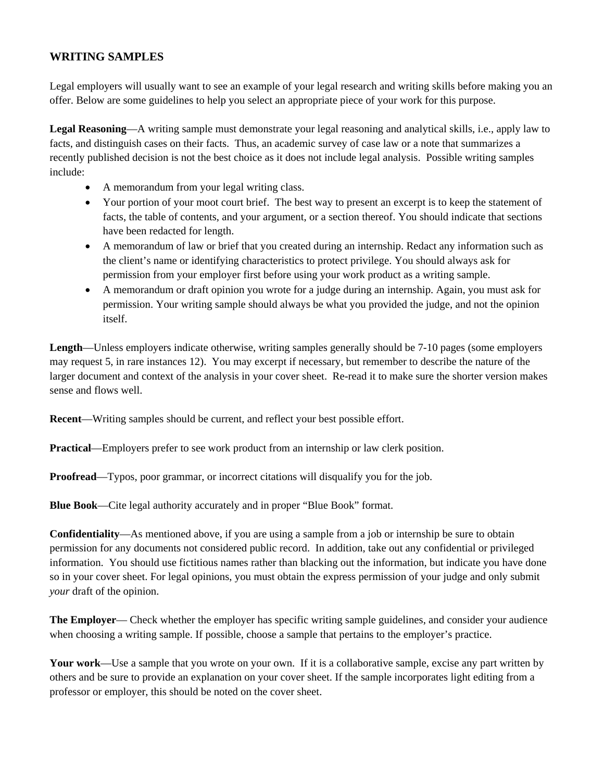# **WRITING SAMPLES**

Legal employers will usually want to see an example of your legal research and writing skills before making you an offer. Below are some guidelines to help you select an appropriate piece of your work for this purpose.

**Legal Reasoning**—A writing sample must demonstrate your legal reasoning and analytical skills, i.e., apply law to facts, and distinguish cases on their facts. Thus, an academic survey of case law or a note that summarizes a recently published decision is not the best choice as it does not include legal analysis. Possible writing samples include:

- A memorandum from your legal writing class.
- Your portion of your moot court brief. The best way to present an excerpt is to keep the statement of facts, the table of contents, and your argument, or a section thereof. You should indicate that sections have been redacted for length.
- A memorandum of law or brief that you created during an internship. Redact any information such as the client's name or identifying characteristics to protect privilege. You should always ask for permission from your employer first before using your work product as a writing sample.
- A memorandum or draft opinion you wrote for a judge during an internship. Again, you must ask for permission. Your writing sample should always be what you provided the judge, and not the opinion itself.

**Length**—Unless employers indicate otherwise, writing samples generally should be 7-10 pages (some employers may request 5, in rare instances 12). You may excerpt if necessary, but remember to describe the nature of the larger document and context of the analysis in your cover sheet. Re-read it to make sure the shorter version makes sense and flows well.

**Recent**—Writing samples should be current, and reflect your best possible effort.

**Practical**—Employers prefer to see work product from an internship or law clerk position.

**Proofread—Typos, poor grammar, or incorrect citations will disqualify you for the job.** 

**Blue Book**—Cite legal authority accurately and in proper "Blue Book" format.

**Confidentiality**—As mentioned above, if you are using a sample from a job or internship be sure to obtain permission for any documents not considered public record. In addition, take out any confidential or privileged information. You should use fictitious names rather than blacking out the information, but indicate you have done so in your cover sheet. For legal opinions, you must obtain the express permission of your judge and only submit *your* draft of the opinion.

**The Employer**— Check whether the employer has specific writing sample guidelines, and consider your audience when choosing a writing sample. If possible, choose a sample that pertains to the employer's practice.

**Your work**—Use a sample that you wrote on your own. If it is a collaborative sample, excise any part written by others and be sure to provide an explanation on your cover sheet. If the sample incorporates light editing from a professor or employer, this should be noted on the cover sheet.